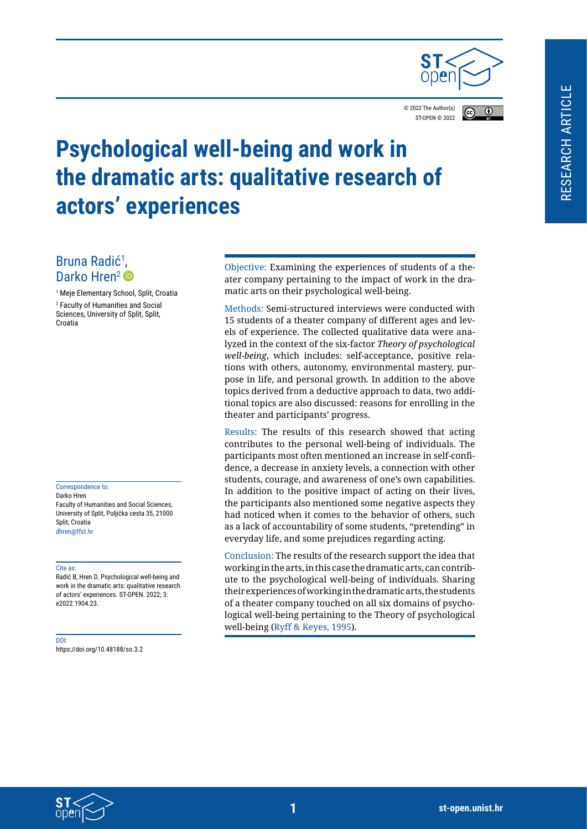

© 2022 The Author(s) ST-OPEN © 202[2](https://creativecommons.org/licenses/by/4.0/legalcode)

# $\overline{r}$



# **Psychological well-being and work in the dramatic arts: qualitative research of actors' experiences**

# Bruna Radić<sup>1</sup>, Darko Hren<sup>2</sup>

1 Meje Elementary School, Split, Croatia 2 Faculty of Humanities and Social Sciences, University of Split, Split, Croatia

Correspondence to: Darko Hren Faculty of Humanities and Social Sciences, University of Split, Poljička cesta 35, 21000 Split, Croatia dhren@ffst.hr

#### Cite as:

Radić B, Hren D. Psychological well-being and work in the dramatic arts: qualitative research of actors' experiences. ST-OPEN. 2022; 3: e2022.1904.23.

#### DOI:

https://doi.org/10.48188/so.3.2

Objective: Examining the experiences of students of a theater company pertaining to the impact of work in the dramatic arts on their psychological well-being.

Methods: Semi-structured interviews were conducted with 15 students of a theater company of different ages and levels of experience. The collected qualitative data were analyzed in the context of the six-factor *Theory of psychological well-being*, which includes: self-acceptance, positive relations with others, autonomy, environmental mastery, purpose in life, and personal growth. In addition to the above topics derived from a deductive approach to data, two additional topics are also discussed: reasons for enrolling in the theater and participants' progress.

Results: The results of this research showed that acting contributes to the personal well-being of individuals. The participants most often mentioned an increase in self-confidence, a decrease in anxiety levels, a connection with other students, courage, and awareness of one's own capabilities. In addition to the positive impact of acting on their lives, the participants also mentioned some negative aspects they had noticed when it comes to the behavior of others, such as a lack of accountability of some students, "pretending" in everyday life, and some prejudices regarding acting.

Conclusion: The results of the research support the idea that working in the arts, in this case the dramatic arts, can contribute to the psychological well-being of individuals. Sharing their experiences of working in the dramatic arts, the students of a theater company touched on all six domains of psychological well-being pertaining to the Theory of psychological well-being [\(Ryff & Keyes, 1995](#page-18-0)).

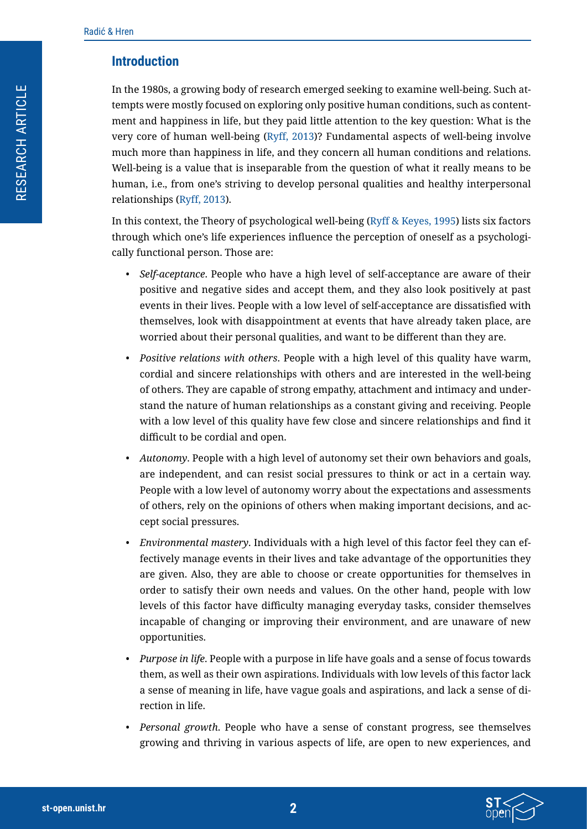## **Introduction**

In the 1980s, a growing body of research emerged seeking to examine well-being. Such attempts were mostly focused on exploring only positive human conditions, such as contentment and happiness in life, but they paid little attention to the key question: What is the very core of human well-being ([Ryff, 2013\)](#page-18-1)? Fundamental aspects of well-being involve much more than happiness in life, and they concern all human conditions and relations. Well-being is a value that is inseparable from the question of what it really means to be human, i.e., from one's striving to develop personal qualities and healthy interpersonal relationships ([Ryff, 2013\)](#page-18-1).

In this context, the Theory of psychological well-being [\(Ryff & Keyes, 1995](#page-18-0)) lists six factors through which one's life experiences influence the perception of oneself as a psychologically functional person. Those are:

- *• Self-aceptance*. People who have a high level of self-acceptance are aware of their positive and negative sides and accept them, and they also look positively at past events in their lives. People with a low level of self-acceptance are dissatisfied with themselves, look with disappointment at events that have already taken place, are worried about their personal qualities, and want to be different than they are.
- *• Positive relations with others*. People with a high level of this quality have warm, cordial and sincere relationships with others and are interested in the well-being of others. They are capable of strong empathy, attachment and intimacy and understand the nature of human relationships as a constant giving and receiving. People with a low level of this quality have few close and sincere relationships and find it difficult to be cordial and open.
- *• Autonomy*. People with a high level of autonomy set their own behaviors and goals, are independent, and can resist social pressures to think or act in a certain way. People with a low level of autonomy worry about the expectations and assessments of others, rely on the opinions of others when making important decisions, and accept social pressures.
- *• Environmental mastery*. Individuals with a high level of this factor feel they can effectively manage events in their lives and take advantage of the opportunities they are given. Also, they are able to choose or create opportunities for themselves in order to satisfy their own needs and values. On the other hand, people with low levels of this factor have difficulty managing everyday tasks, consider themselves incapable of changing or improving their environment, and are unaware of new opportunities.
- *• Purpose in life*. People with a purpose in life have goals and a sense of focus towards them, as well as their own aspirations. Individuals with low levels of this factor lack a sense of meaning in life, have vague goals and aspirations, and lack a sense of direction in life.
- *• Personal growth*. People who have a sense of constant progress, see themselves growing and thriving in various aspects of life, are open to new experiences, and

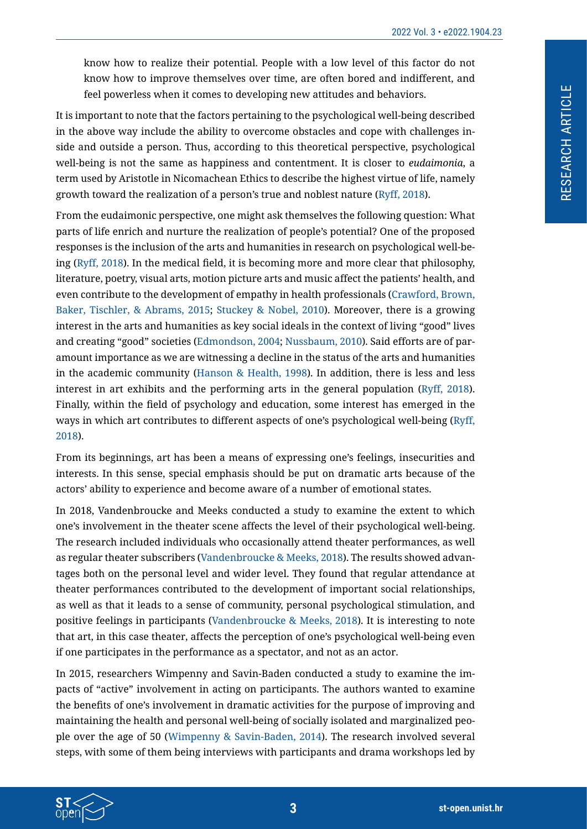know how to realize their potential. People with a low level of this factor do not know how to improve themselves over time, are often bored and indifferent, and feel powerless when it comes to developing new attitudes and behaviors.

It is important to note that the factors pertaining to the psychological well-being described in the above way include the ability to overcome obstacles and cope with challenges inside and outside a person. Thus, according to this theoretical perspective, psychological well-being is not the same as happiness and contentment. It is closer to *eudaimonia*, a term used by Aristotle in Nicomachean Ethics to describe the highest virtue of life, namely growth toward the realization of a person's true and noblest nature ([Ryff, 2018\)](#page-18-2).

From the eudaimonic perspective, one might ask themselves the following question: What parts of life enrich and nurture the realization of people's potential? One of the proposed responses is the inclusion of the arts and humanities in research on psychological well-being [\(Ryff, 2018](#page-18-2)). In the medical field, it is becoming more and more clear that philosophy, literature, poetry, visual arts, motion picture arts and music affect the patients' health, and even contribute to the development of empathy in health professionals [\(Crawford, Brown,](#page-17-0)  [Baker, Tischler, & Abrams, 2015](#page-17-0); [Stuckey & Nobel, 2010\)](#page-18-3). Moreover, there is a growing interest in the arts and humanities as key social ideals in the context of living "good" lives and creating "good" societies ([Edmondson, 2004;](#page-17-1) [Nussbaum, 2010](#page-18-4)). Said efforts are of paramount importance as we are witnessing a decline in the status of the arts and humanities in the academic community ([Hanson & Health, 1998\)](#page-18-5). In addition, there is less and less interest in art exhibits and the performing arts in the general population ([Ryff, 2018\)](#page-18-2). Finally, within the field of psychology and education, some interest has emerged in the ways in which art contributes to different aspects of one's psychological well-being [\(Ryff,](#page-18-2)  [2018](#page-18-2)).

From its beginnings, art has been a means of expressing one's feelings, insecurities and interests. In this sense, special emphasis should be put on dramatic arts because of the actors' ability to experience and become aware of a number of emotional states.

In 2018, Vandenbroucke and Meeks conducted a study to examine the extent to which one's involvement in the theater scene affects the level of their psychological well-being. The research included individuals who occasionally attend theater performances, as well as regular theater subscribers ([Vandenbroucke & Meeks, 2018\)](#page-18-6). The results showed advantages both on the personal level and wider level. They found that regular attendance at theater performances contributed to the development of important social relationships, as well as that it leads to a sense of community, personal psychological stimulation, and positive feelings in participants ([Vandenbroucke & Meeks, 2018\)](#page-18-6). It is interesting to note that art, in this case theater, affects the perception of one's psychological well-being even if one participates in the performance as a spectator, and not as an actor.

In 2015, researchers Wimpenny and Savin-Baden conducted a study to examine the impacts of "active" involvement in acting on participants. The authors wanted to examine the benefits of one's involvement in dramatic activities for the purpose of improving and maintaining the health and personal well-being of socially isolated and marginalized people over the age of 50 [\(Wimpenny & Savin-Baden, 2014](#page-18-7)). The research involved several steps, with some of them being interviews with participants and drama workshops led by

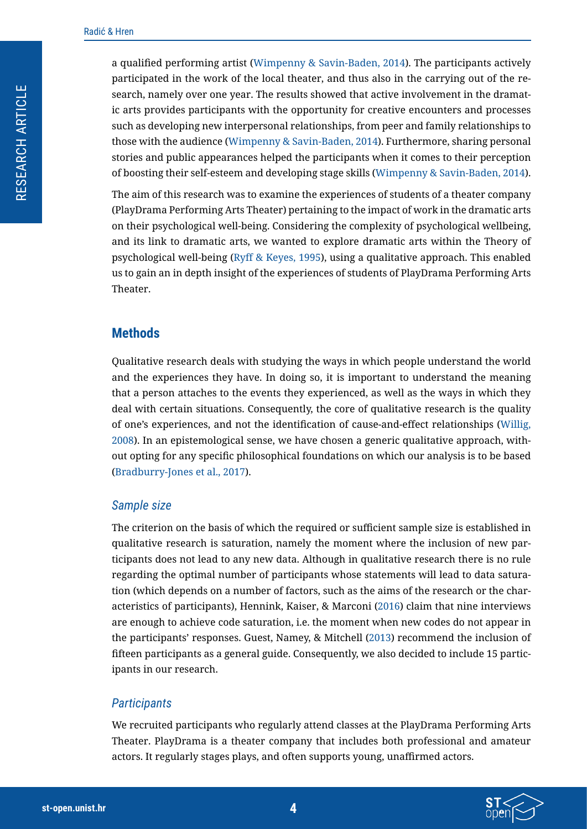a qualified performing artist ([Wimpenny & Savin-Baden, 2014](#page-18-7)). The participants actively participated in the work of the local theater, and thus also in the carrying out of the research, namely over one year. The results showed that active involvement in the dramatic arts provides participants with the opportunity for creative encounters and processes such as developing new interpersonal relationships, from peer and family relationships to those with the audience ([Wimpenny & Savin-Baden, 2014](#page-18-7)). Furthermore, sharing personal stories and public appearances helped the participants when it comes to their perception of boosting their self-esteem and developing stage skills ([Wimpenny & Savin-Baden, 2014\)](#page-18-7).

The aim of this research was to examine the experiences of students of a theater company (PlayDrama Performing Arts Theater) pertaining to the impact of work in the dramatic arts on their psychological well-being. Considering the complexity of psychological wellbeing, and its link to dramatic arts, we wanted to explore dramatic arts within the Theory of psychological well-being [\(Ryff & Keyes, 1995](#page-18-0)), using a qualitative approach. This enabled us to gain an in depth insight of the experiences of students of PlayDrama Performing Arts Theater.

#### **Methods**

Qualitative research deals with studying the ways in which people understand the world and the experiences they have. In doing so, it is important to understand the meaning that a person attaches to the events they experienced, as well as the ways in which they deal with certain situations. Consequently, the core of qualitative research is the quality of one's experiences, and not the identification of cause-and-effect relationships ([Willig,](#page-18-8)  [2008\)](#page-18-8). In an epistemological sense, we have chosen a generic qualitative approach, without opting for any specific philosophical foundations on which our analysis is to be based ([Bradburry-Jones et al., 2017\)](#page-17-2).

#### *Sample size*

The criterion on the basis of which the required or sufficient sample size is established in qualitative research is saturation, namely the moment where the inclusion of new participants does not lead to any new data. Although in qualitative research there is no rule regarding the optimal number of participants whose statements will lead to data saturation (which depends on a number of factors, such as the aims of the research or the characteristics of participants), Hennink, Kaiser, & Marconi [\(2016\)](#page-18-9) claim that nine interviews are enough to achieve code saturation, i.e. the moment when new codes do not appear in the participants' responses. Guest, Namey, & Mitchell [\(2013\)](#page-18-10) recommend the inclusion of fifteen participants as a general guide. Consequently, we also decided to include 15 participants in our research.

#### *Participants*

We recruited participants who regularly attend classes at the PlayDrama Performing Arts Theater. PlayDrama is a theater company that includes both professional and amateur actors. It regularly stages plays, and often supports young, unaffirmed actors.

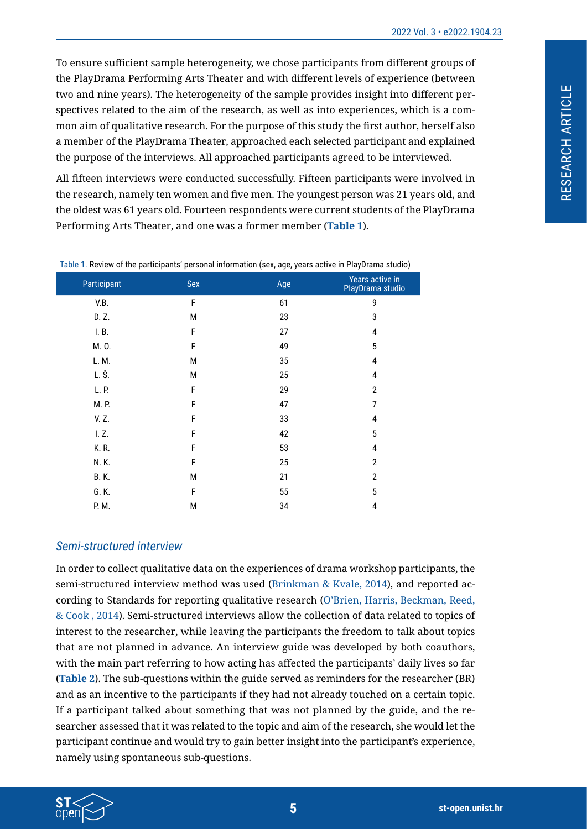To ensure sufficient sample heterogeneity, we chose participants from different groups of the PlayDrama Performing Arts Theater and with different levels of experience (between two and nine years). The heterogeneity of the sample provides insight into different perspectives related to the aim of the research, as well as into experiences, which is a common aim of qualitative research. For the purpose of this study the first author, herself also a member of the PlayDrama Theater, approached each selected participant and explained the purpose of the interviews. All approached participants agreed to be interviewed.

All fifteen interviews were conducted successfully. Fifteen participants were involved in the research, namely ten women and five men. The youngest person was 21 years old, and the oldest was 61 years old. Fourteen respondents were current students of the PlayDrama Performing Arts Theater, and one was a former member (**[Table 1](#page-4-0)**).

| rable 1. Reflect of the participants' personal information (sex) age, fears active in Flags raina staals) |     |     |                                     |  |
|-----------------------------------------------------------------------------------------------------------|-----|-----|-------------------------------------|--|
| Participant                                                                                               | Sex | Age | Years active in<br>PlayDrama studio |  |
| V.B.                                                                                                      | F   | 61  | 9                                   |  |
| D. Z.                                                                                                     | М   | 23  | 3                                   |  |
| I. B.                                                                                                     | F   | 27  | 4                                   |  |
| M. O.                                                                                                     | F   | 49  | 5                                   |  |
| L. M.                                                                                                     | Μ   | 35  | 4                                   |  |
| L. Š.                                                                                                     | М   | 25  | 4                                   |  |
| L. P.                                                                                                     | F   | 29  | $\mathbf{2}$                        |  |
| M. P.                                                                                                     | F   | 47  | 7                                   |  |
| V. Z.                                                                                                     | F   | 33  | 4                                   |  |
| I. Z.                                                                                                     | F   | 42  | 5                                   |  |
| K. R.                                                                                                     | F   | 53  | 4                                   |  |
| N. K.                                                                                                     | F   | 25  | $\overline{2}$                      |  |
| <b>B.K.</b>                                                                                               | М   | 21  | $\overline{2}$                      |  |
| G. K.                                                                                                     | F   | 55  | 5                                   |  |
| P. M.                                                                                                     | М   | 34  | 4                                   |  |

<span id="page-4-0"></span>Table 1. Review of the participants' personal information (sex, age, years active in PlayDrama studio)

#### *Semi-structured interview*

In order to collect qualitative data on the experiences of drama workshop participants, the semi-structured interview method was used ([Brinkman & Kvale, 2014\)](#page-17-3), and reported according to Standards for reporting qualitative research (O'Brien, Harris, Beckman, Reed, & Cook , 2014). Semi-structured interviews allow the collection of data related to topics of interest to the researcher, while leaving the participants the freedom to talk about topics that are not planned in advance. An interview guide was developed by both coauthors, with the main part referring to how acting has affected the participants' daily lives so far (**[Table 2](#page-5-0)**). The sub-questions within the guide served as reminders for the researcher (BR) and as an incentive to the participants if they had not already touched on a certain topic. If a participant talked about something that was not planned by the guide, and the researcher assessed that it was related to the topic and aim of the research, she would let the participant continue and would try to gain better insight into the participant's experience, namely using spontaneous sub-questions.

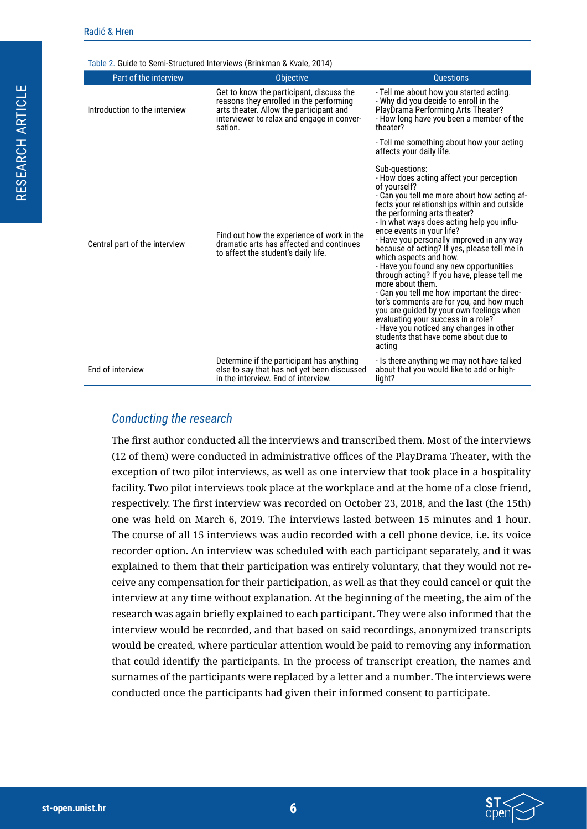RESEARCH ARTICLE

RESEARCH ARTICLE

<span id="page-5-0"></span>

| Part of the interview         | <b>Objective</b>                                                                                                                                                                        | <b>Ouestions</b>                                                                                                                                                                                                                                                                                                                                                                                                                                                                                                                                                                                                                                                                                                                                                                                 |
|-------------------------------|-----------------------------------------------------------------------------------------------------------------------------------------------------------------------------------------|--------------------------------------------------------------------------------------------------------------------------------------------------------------------------------------------------------------------------------------------------------------------------------------------------------------------------------------------------------------------------------------------------------------------------------------------------------------------------------------------------------------------------------------------------------------------------------------------------------------------------------------------------------------------------------------------------------------------------------------------------------------------------------------------------|
| Introduction to the interview | Get to know the participant, discuss the<br>reasons they enrolled in the performing<br>arts theater. Allow the participant and<br>interviewer to relax and engage in conver-<br>sation. | - Tell me about how you started acting.<br>- Why did you decide to enroll in the<br>PlayDrama Performing Arts Theater?<br>- How long have you been a member of the<br>theater?                                                                                                                                                                                                                                                                                                                                                                                                                                                                                                                                                                                                                   |
|                               |                                                                                                                                                                                         | - Tell me something about how your acting<br>affects your daily life.                                                                                                                                                                                                                                                                                                                                                                                                                                                                                                                                                                                                                                                                                                                            |
| Central part of the interview | Find out how the experience of work in the<br>dramatic arts has affected and continues<br>to affect the student's daily life.                                                           | Sub-questions:<br>- How does acting affect your perception<br>of yourself?<br>- Can you tell me more about how acting af-<br>fects your relationships within and outside<br>the performing arts theater?<br>- In what ways does acting help you influ-<br>ence events in your life?<br>- Have you personally improved in any way<br>because of acting? If yes, please tell me in<br>which aspects and how.<br>- Have you found any new opportunities<br>through acting? If you have, please tell me<br>more about them.<br>- Can you tell me how important the direc-<br>tor's comments are for you, and how much<br>you are guided by your own feelings when<br>evaluating your success in a role?<br>- Have you noticed any changes in other<br>students that have come about due to<br>acting |
| End of interview              | Determine if the participant has anything<br>else to say that has not yet been discussed<br>in the interview. End of interview.                                                         | - Is there anything we may not have talked<br>about that you would like to add or high-<br>light?                                                                                                                                                                                                                                                                                                                                                                                                                                                                                                                                                                                                                                                                                                |

#### *Conducting the research*

The first author conducted all the interviews and transcribed them. Most of the interviews (12 of them) were conducted in administrative offices of the PlayDrama Theater, with the exception of two pilot interviews, as well as one interview that took place in a hospitality facility. Two pilot interviews took place at the workplace and at the home of a close friend, respectively. The first interview was recorded on October 23, 2018, and the last (the 15th) one was held on March 6, 2019. The interviews lasted between 15 minutes and 1 hour. The course of all 15 interviews was audio recorded with a cell phone device, i.e. its voice recorder option. An interview was scheduled with each participant separately, and it was explained to them that their participation was entirely voluntary, that they would not receive any compensation for their participation, as well as that they could cancel or quit the interview at any time without explanation. At the beginning of the meeting, the aim of the research was again briefly explained to each participant. They were also informed that the interview would be recorded, and that based on said recordings, anonymized transcripts would be created, where particular attention would be paid to removing any information that could identify the participants. In the process of transcript creation, the names and surnames of the participants were replaced by a letter and a number. The interviews were conducted once the participants had given their informed consent to participate.

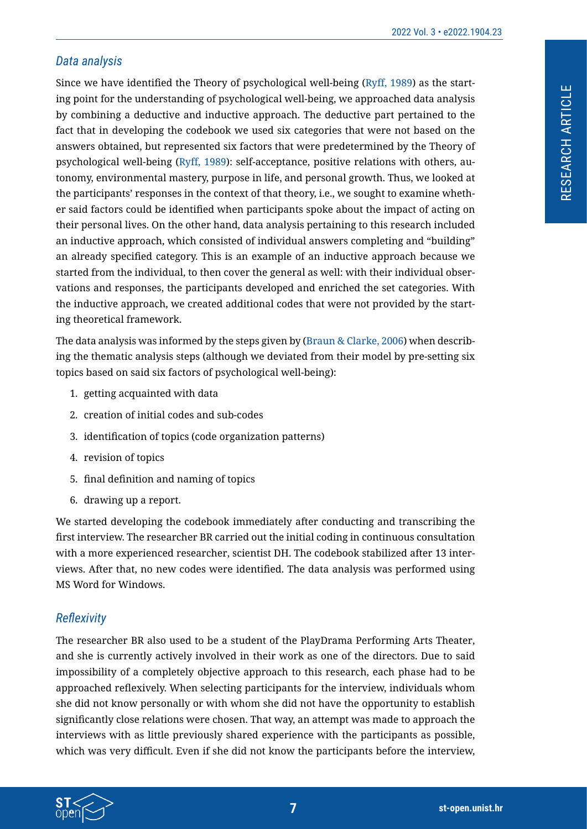#### *Data analysis*

Since we have identified the Theory of psychological well-being ([Ryff, 1989](#page-18-11)) as the starting point for the understanding of psychological well-being, we approached data analysis by combining a deductive and inductive approach. The deductive part pertained to the fact that in developing the codebook we used six categories that were not based on the answers obtained, but represented six factors that were predetermined by the Theory of psychological well-being ([Ryff, 1989\)](#page-18-11): self-acceptance, positive relations with others, autonomy, environmental mastery, purpose in life, and personal growth. Thus, we looked at the participants' responses in the context of that theory, i.e., we sought to examine whether said factors could be identified when participants spoke about the impact of acting on their personal lives. On the other hand, data analysis pertaining to this research included an inductive approach, which consisted of individual answers completing and "building" an already specified category. This is an example of an inductive approach because we started from the individual, to then cover the general as well: with their individual observations and responses, the participants developed and enriched the set categories. With the inductive approach, we created additional codes that were not provided by the starting theoretical framework.

The data analysis was informed by the steps given by ([Braun & Clarke, 2006](#page-17-4)) when describing the thematic analysis steps (although we deviated from their model by pre-setting six topics based on said six factors of psychological well-being):

- 1. getting acquainted with data
- 2. creation of initial codes and sub-codes
- 3. identification of topics (code organization patterns)
- 4. revision of topics
- 5. final definition and naming of topics
- 6. drawing up a report.

We started developing the codebook immediately after conducting and transcribing the first interview. The researcher BR carried out the initial coding in continuous consultation with a more experienced researcher, scientist DH. The codebook stabilized after 13 interviews. After that, no new codes were identified. The data analysis was performed using MS Word for Windows.

### *Reflexivity*

The researcher BR also used to be a student of the PlayDrama Performing Arts Theater, and she is currently actively involved in their work as one of the directors. Due to said impossibility of a completely objective approach to this research, each phase had to be approached reflexively. When selecting participants for the interview, individuals whom she did not know personally or with whom she did not have the opportunity to establish significantly close relations were chosen. That way, an attempt was made to approach the interviews with as little previously shared experience with the participants as possible, which was very difficult. Even if she did not know the participants before the interview,

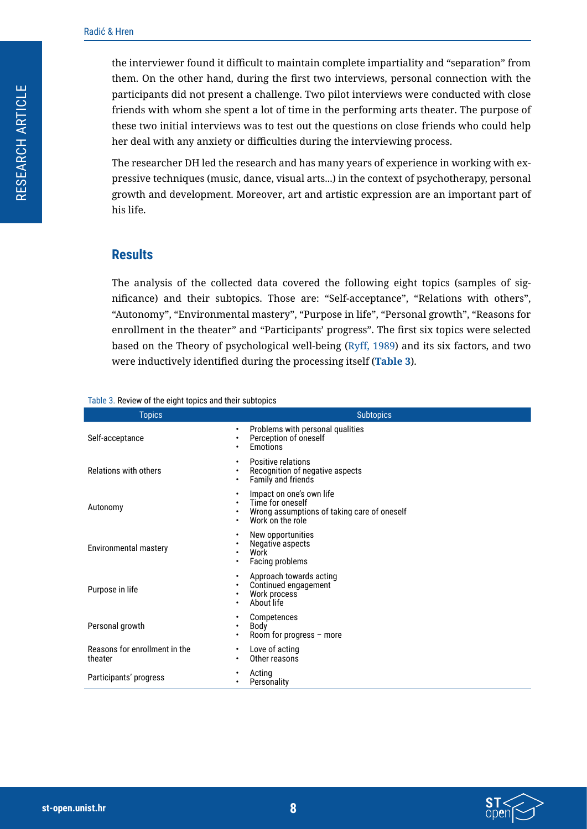the interviewer found it difficult to maintain complete impartiality and "separation" from them. On the other hand, during the first two interviews, personal connection with the participants did not present a challenge. Two pilot interviews were conducted with close friends with whom she spent a lot of time in the performing arts theater. The purpose of these two initial interviews was to test out the questions on close friends who could help her deal with any anxiety or difficulties during the interviewing process.

The researcher DH led the research and has many years of experience in working with expressive techniques (music, dance, visual arts...) in the context of psychotherapy, personal growth and development. Moreover, art and artistic expression are an important part of his life.

#### **Results**

The analysis of the collected data covered the following eight topics (samples of significance) and their subtopics. Those are: "Self-acceptance", "Relations with others", "Autonomy", "Environmental mastery", "Purpose in life", "Personal growth", "Reasons for enrollment in the theater" and "Participants' progress". The first six topics were selected based on the Theory of psychological well-being [\(Ryff, 1989\)](#page-18-11) and its six factors, and two were inductively identified during the processing itself (**[Table 3](#page-7-0)**).

#### <span id="page-7-0"></span>Table 3. Review of the eight topics and their subtopics

| <b>Topics</b>                            | <b>Subtopics</b>                                                                                                                    |  |  |
|------------------------------------------|-------------------------------------------------------------------------------------------------------------------------------------|--|--|
| Self-acceptance                          | Problems with personal qualities<br>٠<br>Perception of oneself<br>٠<br>Emotions<br>٠                                                |  |  |
| Relations with others                    | Positive relations<br>٠<br>Recognition of negative aspects<br>٠<br>Family and friends<br>٠                                          |  |  |
| Autonomy                                 | Impact on one's own life<br>٠<br>Time for oneself<br>٠<br>Wrong assumptions of taking care of oneself<br>٠<br>Work on the role<br>٠ |  |  |
| <b>Environmental mastery</b>             | New opportunities<br>٠<br>Negative aspects<br>٠<br>Work<br>٠<br>Facing problems<br>$\bullet$                                        |  |  |
| Purpose in life                          | Approach towards acting<br>$\bullet$<br>Continued engagement<br>٠<br>Work process<br>$\bullet$<br>About life<br>٠                   |  |  |
| Personal growth                          | Competences<br>٠<br>Body<br>٠<br>Room for progress - more<br>٠                                                                      |  |  |
| Reasons for enrollment in the<br>theater | Love of acting<br>$\bullet$<br>Other reasons<br>٠                                                                                   |  |  |
| Participants' progress                   | Acting<br>٠<br>Personality<br>٠                                                                                                     |  |  |

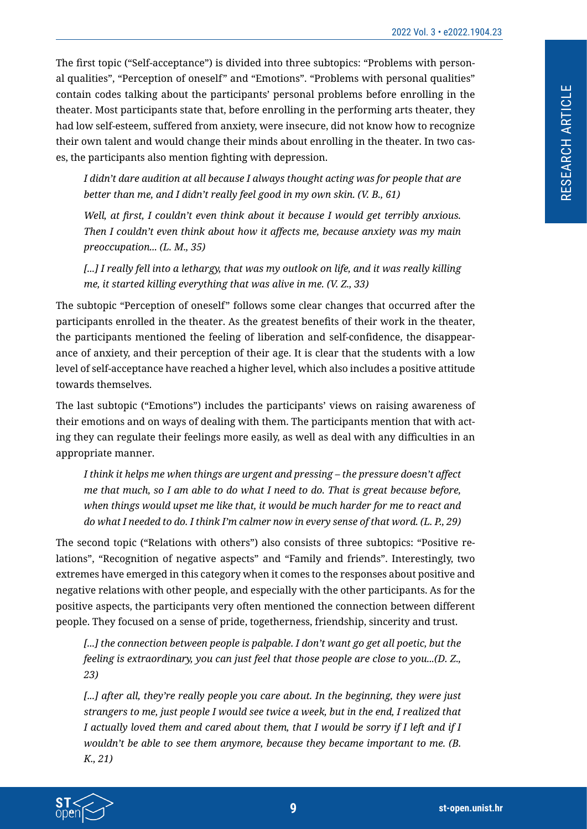The first topic ("Self-acceptance") is divided into three subtopics: "Problems with personal qualities", "Perception of oneself" and "Emotions". "Problems with personal qualities" contain codes talking about the participants' personal problems before enrolling in the theater. Most participants state that, before enrolling in the performing arts theater, they had low self-esteem, suffered from anxiety, were insecure, did not know how to recognize their own talent and would change their minds about enrolling in the theater. In two cases, the participants also mention fighting with depression.

*I didn't dare audition at all because I always thought acting was for people that are better than me, and I didn't really feel good in my own skin. (V. B., 61)*

*Well, at first, I couldn't even think about it because I would get terribly anxious. Then I couldn't even think about how it affects me, because anxiety was my main preoccupation... (L. M., 35)*

*[...] I really fell into a lethargy, that was my outlook on life, and it was really killing me, it started killing everything that was alive in me. (V. Z., 33)*

The subtopic "Perception of oneself" follows some clear changes that occurred after the participants enrolled in the theater. As the greatest benefits of their work in the theater, the participants mentioned the feeling of liberation and self-confidence, the disappearance of anxiety, and their perception of their age. It is clear that the students with a low level of self-acceptance have reached a higher level, which also includes a positive attitude towards themselves.

The last subtopic ("Emotions") includes the participants' views on raising awareness of their emotions and on ways of dealing with them. The participants mention that with acting they can regulate their feelings more easily, as well as deal with any difficulties in an appropriate manner.

*I think it helps me when things are urgent and pressing – the pressure doesn't affect me that much, so I am able to do what I need to do. That is great because before, when things would upset me like that, it would be much harder for me to react and do what I needed to do. I think I'm calmer now in every sense of that word. (L. P., 29)*

The second topic ("Relations with others") also consists of three subtopics: "Positive relations", "Recognition of negative aspects" and "Family and friends". Interestingly, two extremes have emerged in this category when it comes to the responses about positive and negative relations with other people, and especially with the other participants. As for the positive aspects, the participants very often mentioned the connection between different people. They focused on a sense of pride, togetherness, friendship, sincerity and trust.

*[...] the connection between people is palpable. I don't want go get all poetic, but the feeling is extraordinary, you can just feel that those people are close to you...(D. Z., 23)*

*[...] after all, they're really people you care about. In the beginning, they were just strangers to me, just people I would see twice a week, but in the end, I realized that I actually loved them and cared about them, that I would be sorry if I left and if I wouldn't be able to see them anymore, because they became important to me. (B. K., 21)*

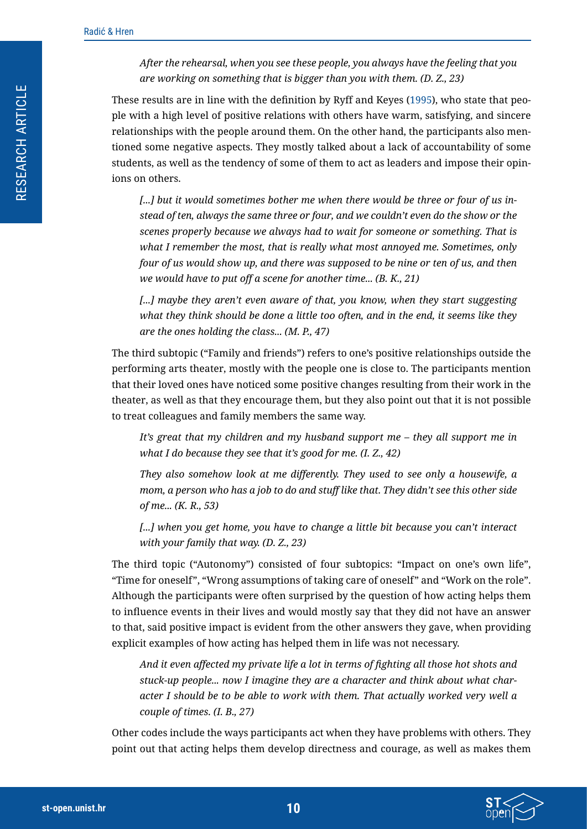*After the rehearsal, when you see these people, you always have the feeling that you are working on something that is bigger than you with them. (D. Z., 23)*

These results are in line with the definition by Ryff and Keyes ([1995](#page-18-0)), who state that people with a high level of positive relations with others have warm, satisfying, and sincere relationships with the people around them. On the other hand, the participants also mentioned some negative aspects. They mostly talked about a lack of accountability of some students, as well as the tendency of some of them to act as leaders and impose their opinions on others.

*[...] but it would sometimes bother me when there would be three or four of us instead of ten, always the same three or four, and we couldn't even do the show or the scenes properly because we always had to wait for someone or something. That is what I remember the most, that is really what most annoyed me. Sometimes, only four of us would show up, and there was supposed to be nine or ten of us, and then we would have to put off a scene for another time... (B. K., 21)*

[...] maybe they aren't even aware of that, you know, when they start suggesting *what they think should be done a little too often, and in the end, it seems like they are the ones holding the class... (M. P., 47)*

The third subtopic ("Family and friends") refers to one's positive relationships outside the performing arts theater, mostly with the people one is close to. The participants mention that their loved ones have noticed some positive changes resulting from their work in the theater, as well as that they encourage them, but they also point out that it is not possible to treat colleagues and family members the same way.

*It's great that my children and my husband support me – they all support me in what I do because they see that it's good for me. (I. Z., 42)*

*They also somehow look at me differently. They used to see only a housewife, a mom, a person who has a job to do and stuff like that. They didn't see this other side of me... (K. R., 53)*

[...] when you get home, you have to change a little bit because you can't interact *with your family that way. (D. Z., 23)*

The third topic ("Autonomy") consisted of four subtopics: "Impact on one's own life", "Time for oneself", "Wrong assumptions of taking care of oneself" and "Work on the role". Although the participants were often surprised by the question of how acting helps them to influence events in their lives and would mostly say that they did not have an answer to that, said positive impact is evident from the other answers they gave, when providing explicit examples of how acting has helped them in life was not necessary.

*And it even affected my private life a lot in terms of fighting all those hot shots and stuck-up people... now I imagine they are a character and think about what character I should be to be able to work with them. That actually worked very well a couple of times. (I. B., 27)*

Other codes include the ways participants act when they have problems with others. They point out that acting helps them develop directness and courage, as well as makes them

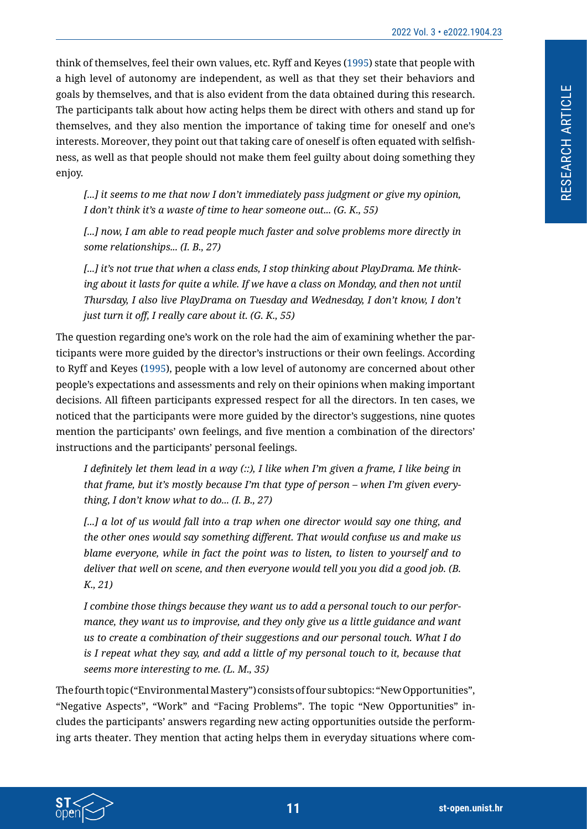think of themselves, feel their own values, etc. Ryff and Keyes ([1995](#page-18-0)) state that people with a high level of autonomy are independent, as well as that they set their behaviors and goals by themselves, and that is also evident from the data obtained during this research. The participants talk about how acting helps them be direct with others and stand up for themselves, and they also mention the importance of taking time for oneself and one's interests. Moreover, they point out that taking care of oneself is often equated with selfishness, as well as that people should not make them feel guilty about doing something they enjoy.

*[...] it seems to me that now I don't immediately pass judgment or give my opinion, I don't think it's a waste of time to hear someone out... (G. K., 55)*

*[...] now, I am able to read people much faster and solve problems more directly in some relationships... (I. B., 27)*

*[...] it's not true that when a class ends, I stop thinking about PlayDrama. Me thinking about it lasts for quite a while. If we have a class on Monday, and then not until Thursday, I also live PlayDrama on Tuesday and Wednesday, I don't know, I don't just turn it off, I really care about it. (G. K., 55)*

The question regarding one's work on the role had the aim of examining whether the participants were more guided by the director's instructions or their own feelings. According to Ryff and Keyes [\(1995](#page-18-0)), people with a low level of autonomy are concerned about other people's expectations and assessments and rely on their opinions when making important decisions. All fifteen participants expressed respect for all the directors. In ten cases, we noticed that the participants were more guided by the director's suggestions, nine quotes mention the participants' own feelings, and five mention a combination of the directors' instructions and the participants' personal feelings.

I definitely let them lead in a way  $\langle \cdot \rangle$ . I like when I'm given a frame, I like being in *that frame, but it's mostly because I'm that type of person – when I'm given everything, I don't know what to do... (I. B., 27)*

[...] a lot of us would fall into a trap when one director would say one thing, and *the other ones would say something different. That would confuse us and make us blame everyone, while in fact the point was to listen, to listen to yourself and to deliver that well on scene, and then everyone would tell you you did a good job. (B. K., 21)*

*I combine those things because they want us to add a personal touch to our performance, they want us to improvise, and they only give us a little guidance and want us to create a combination of their suggestions and our personal touch. What I do is I repeat what they say, and add a little of my personal touch to it, because that seems more interesting to me. (L. M., 35)*

The fourth topic ("Environmental Mastery") consists of four subtopics: "New Opportunities", "Negative Aspects", "Work" and "Facing Problems". The topic "New Opportunities" includes the participants' answers regarding new acting opportunities outside the performing arts theater. They mention that acting helps them in everyday situations where com-

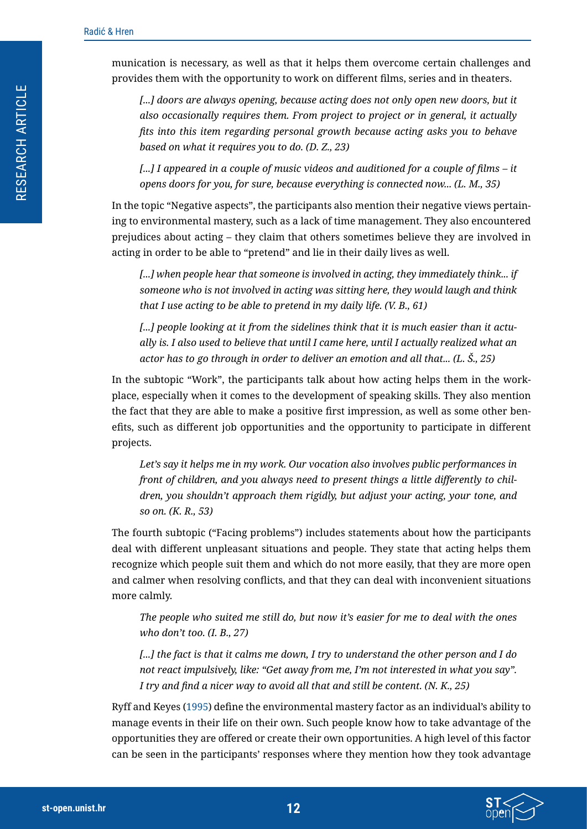munication is necessary, as well as that it helps them overcome certain challenges and provides them with the opportunity to work on different films, series and in theaters.

[...] doors are always opening, because acting does not only open new doors, but it *also occasionally requires them. From project to project or in general, it actually fits into this item regarding personal growth because acting asks you to behave based on what it requires you to do. (D. Z., 23)*

*[...] I appeared in a couple of music videos and auditioned for a couple of films – it opens doors for you, for sure, because everything is connected now... (L. M., 35)*

In the topic "Negative aspects", the participants also mention their negative views pertaining to environmental mastery, such as a lack of time management. They also encountered prejudices about acting – they claim that others sometimes believe they are involved in acting in order to be able to "pretend" and lie in their daily lives as well.

*[...] when people hear that someone is involved in acting, they immediately think... if someone who is not involved in acting was sitting here, they would laugh and think that I use acting to be able to pretend in my daily life. (V. B., 61)*

*[...] people looking at it from the sidelines think that it is much easier than it actually is. I also used to believe that until I came here, until I actually realized what an actor has to go through in order to deliver an emotion and all that... (L. Š., 25)*

In the subtopic "Work", the participants talk about how acting helps them in the workplace, especially when it comes to the development of speaking skills. They also mention the fact that they are able to make a positive first impression, as well as some other benefits, such as different job opportunities and the opportunity to participate in different projects.

*Let's say it helps me in my work. Our vocation also involves public performances in front of children, and you always need to present things a little differently to children, you shouldn't approach them rigidly, but adjust your acting, your tone, and so on. (K. R., 53)*

The fourth subtopic ("Facing problems") includes statements about how the participants deal with different unpleasant situations and people. They state that acting helps them recognize which people suit them and which do not more easily, that they are more open and calmer when resolving conflicts, and that they can deal with inconvenient situations more calmly.

*The people who suited me still do, but now it's easier for me to deal with the ones who don't too. (I. B., 27)*

*[...] the fact is that it calms me down, I try to understand the other person and I do not react impulsively, like: "Get away from me, I'm not interested in what you say". I try and find a nicer way to avoid all that and still be content. (N. K., 25)*

Ryff and Keyes ([1995](#page-18-0)) define the environmental mastery factor as an individual's ability to manage events in their life on their own. Such people know how to take advantage of the opportunities they are offered or create their own opportunities. A high level of this factor can be seen in the participants' responses where they mention how they took advantage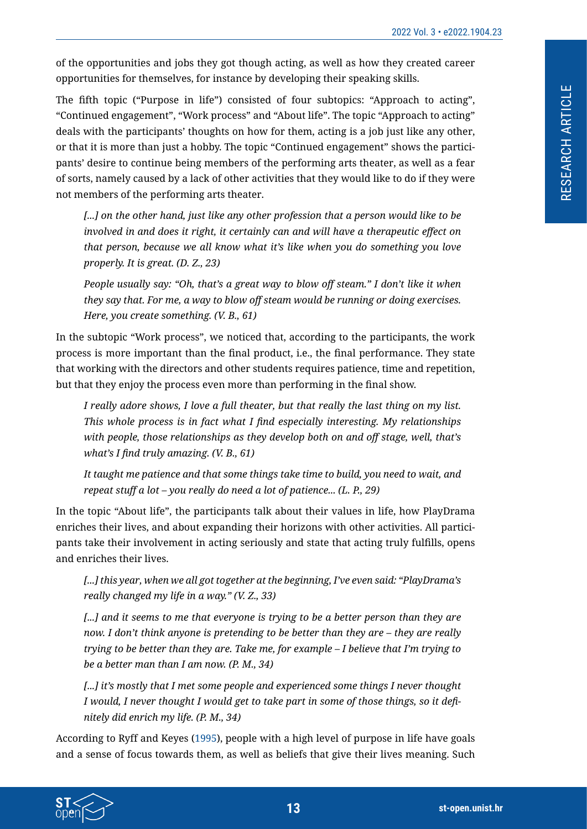of the opportunities and jobs they got though acting, as well as how they created career opportunities for themselves, for instance by developing their speaking skills.

The fifth topic ("Purpose in life") consisted of four subtopics: "Approach to acting", "Continued engagement", "Work process" and "About life". The topic "Approach to acting" deals with the participants' thoughts on how for them, acting is a job just like any other, or that it is more than just a hobby. The topic "Continued engagement" shows the participants' desire to continue being members of the performing arts theater, as well as a fear of sorts, namely caused by a lack of other activities that they would like to do if they were not members of the performing arts theater.

*[...] on the other hand, just like any other profession that a person would like to be involved in and does it right, it certainly can and will have a therapeutic effect on that person, because we all know what it's like when you do something you love properly. It is great. (D. Z., 23)*

*People usually say: "Oh, that's a great way to blow off steam." I don't like it when they say that. For me, a way to blow off steam would be running or doing exercises. Here, you create something. (V. B., 61)*

In the subtopic "Work process", we noticed that, according to the participants, the work process is more important than the final product, i.e., the final performance. They state that working with the directors and other students requires patience, time and repetition, but that they enjoy the process even more than performing in the final show.

*I really adore shows, I love a full theater, but that really the last thing on my list. This whole process is in fact what I find especially interesting. My relationships with people, those relationships as they develop both on and off stage, well, that's what's I find truly amazing. (V. B., 61)*

*It taught me patience and that some things take time to build, you need to wait, and repeat stuff a lot – you really do need a lot of patience... (L. P., 29)*

In the topic "About life", the participants talk about their values in life, how PlayDrama enriches their lives, and about expanding their horizons with other activities. All participants take their involvement in acting seriously and state that acting truly fulfills, opens and enriches their lives.

*[...] this year, when we all got together at the beginning, I've even said: "PlayDrama's really changed my life in a way." (V. Z., 33)*

[...] and it seems to me that everyone is trying to be a better person than they are *now. I don't think anyone is pretending to be better than they are – they are really trying to be better than they are. Take me, for example – I believe that I'm trying to be a better man than I am now. (P. M., 34)*

*[...] it's mostly that I met some people and experienced some things I never thought* I would, I never thought I would get to take part in some of those things, so it defi*nitely did enrich my life. (P. M., 34)*

According to Ryff and Keyes ([1995\)](#page-18-0), people with a high level of purpose in life have goals and a sense of focus towards them, as well as beliefs that give their lives meaning. Such

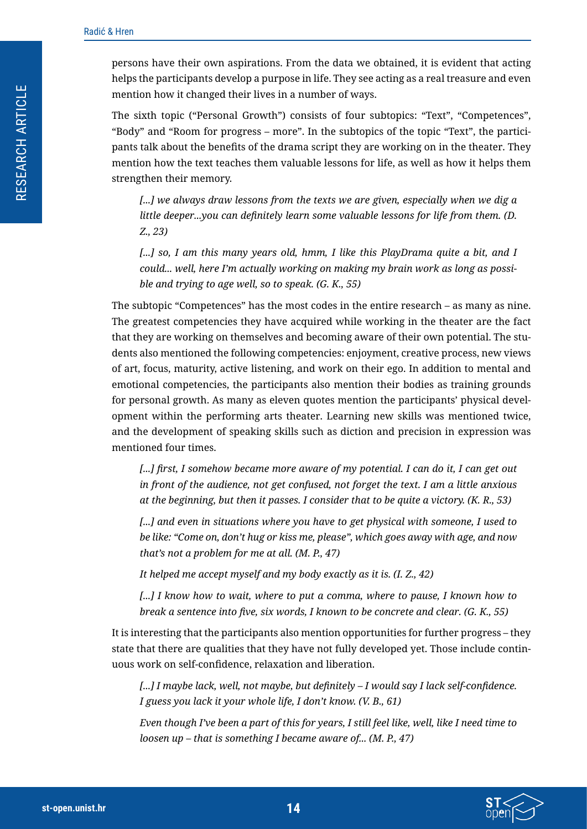persons have their own aspirations. From the data we obtained, it is evident that acting helps the participants develop a purpose in life. They see acting as a real treasure and even mention how it changed their lives in a number of ways.

The sixth topic ("Personal Growth") consists of four subtopics: "Text", "Competences", "Body" and "Room for progress – more". In the subtopics of the topic "Text", the participants talk about the benefits of the drama script they are working on in the theater. They mention how the text teaches them valuable lessons for life, as well as how it helps them strengthen their memory.

*[...] we always draw lessons from the texts we are given, especially when we dig a little deeper...you can definitely learn some valuable lessons for life from them. (D. Z., 23)*

*[...] so, I am this many years old, hmm, I like this PlayDrama quite a bit, and I could... well, here I'm actually working on making my brain work as long as possible and trying to age well, so to speak. (G. K., 55)*

The subtopic "Competences" has the most codes in the entire research – as many as nine. The greatest competencies they have acquired while working in the theater are the fact that they are working on themselves and becoming aware of their own potential. The students also mentioned the following competencies: enjoyment, creative process, new views of art, focus, maturity, active listening, and work on their ego. In addition to mental and emotional competencies, the participants also mention their bodies as training grounds for personal growth. As many as eleven quotes mention the participants' physical development within the performing arts theater. Learning new skills was mentioned twice, and the development of speaking skills such as diction and precision in expression was mentioned four times.

*[...] first, I somehow became more aware of my potential. I can do it, I can get out in front of the audience, not get confused, not forget the text. I am a little anxious at the beginning, but then it passes. I consider that to be quite a victory. (K. R., 53)*

[...] and even in situations where you have to get physical with someone, I used to *be like: "Come on, don't hug or kiss me, please", which goes away with age, and now that's not a problem for me at all. (M. P., 47)*

*It helped me accept myself and my body exactly as it is. (I. Z., 42)*

*[...] I know how to wait, where to put a comma, where to pause, I known how to break a sentence into five, six words, I known to be concrete and clear. (G. K., 55)*

It is interesting that the participants also mention opportunities for further progress – they state that there are qualities that they have not fully developed yet. Those include continuous work on self-confidence, relaxation and liberation.

*[...] I maybe lack, well, not maybe, but definitely – I would say I lack self-confidence. I guess you lack it your whole life, I don't know. (V. B., 61)*

*Even though I've been a part of this for years, I still feel like, well, like I need time to loosen up – that is something I became aware of... (M. P., 47)*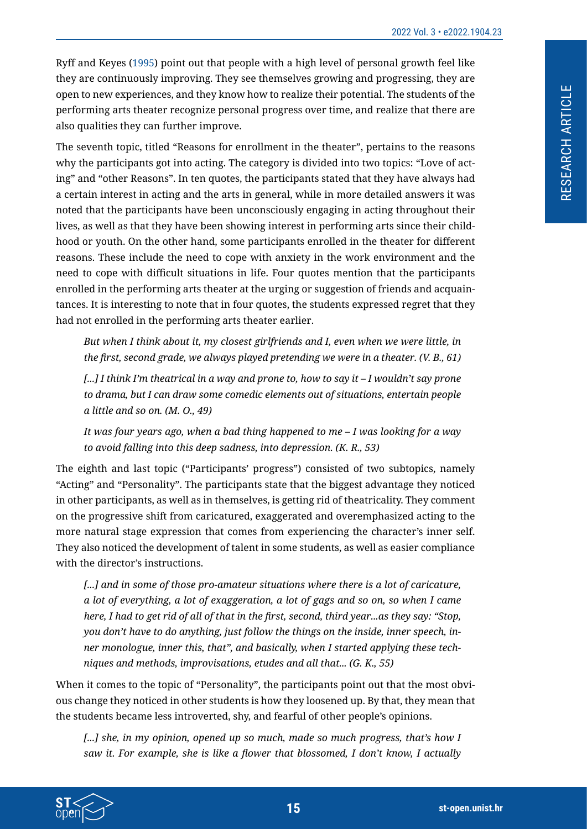RESEARCH ARTICLE

RESEARCH ARTICLE

Ryff and Keyes [\(1995\)](#page-18-0) point out that people with a high level of personal growth feel like they are continuously improving. They see themselves growing and progressing, they are open to new experiences, and they know how to realize their potential. The students of the performing arts theater recognize personal progress over time, and realize that there are also qualities they can further improve.

The seventh topic, titled "Reasons for enrollment in the theater", pertains to the reasons why the participants got into acting. The category is divided into two topics: "Love of acting" and "other Reasons". In ten quotes, the participants stated that they have always had a certain interest in acting and the arts in general, while in more detailed answers it was noted that the participants have been unconsciously engaging in acting throughout their lives, as well as that they have been showing interest in performing arts since their childhood or youth. On the other hand, some participants enrolled in the theater for different reasons. These include the need to cope with anxiety in the work environment and the need to cope with difficult situations in life. Four quotes mention that the participants enrolled in the performing arts theater at the urging or suggestion of friends and acquaintances. It is interesting to note that in four quotes, the students expressed regret that they had not enrolled in the performing arts theater earlier.

*But when I think about it, my closest girlfriends and I, even when we were little, in the first, second grade, we always played pretending we were in a theater. (V. B., 61)*

*[...] I think I'm theatrical in a way and prone to, how to say it – I wouldn't say prone to drama, but I can draw some comedic elements out of situations, entertain people a little and so on. (M. O., 49)*

*It was four years ago, when a bad thing happened to me – I was looking for a way to avoid falling into this deep sadness, into depression. (K. R., 53)*

The eighth and last topic ("Participants' progress") consisted of two subtopics, namely "Acting" and "Personality". The participants state that the biggest advantage they noticed in other participants, as well as in themselves, is getting rid of theatricality. They comment on the progressive shift from caricatured, exaggerated and overemphasized acting to the more natural stage expression that comes from experiencing the character's inner self. They also noticed the development of talent in some students, as well as easier compliance with the director's instructions.

*[...] and in some of those pro-amateur situations where there is a lot of caricature, a lot of everything, a lot of exaggeration, a lot of gags and so on, so when I came* here, I had to get rid of all of that in the first, second, third year...as they say: "Stop, *you don't have to do anything, just follow the things on the inside, inner speech, inner monologue, inner this, that", and basically, when I started applying these techniques and methods, improvisations, etudes and all that... (G. K., 55)*

When it comes to the topic of "Personality", the participants point out that the most obvious change they noticed in other students is how they loosened up. By that, they mean that the students became less introverted, shy, and fearful of other people's opinions.

*[...] she, in my opinion, opened up so much, made so much progress, that's how I saw it. For example, she is like a flower that blossomed, I don't know, I actually*

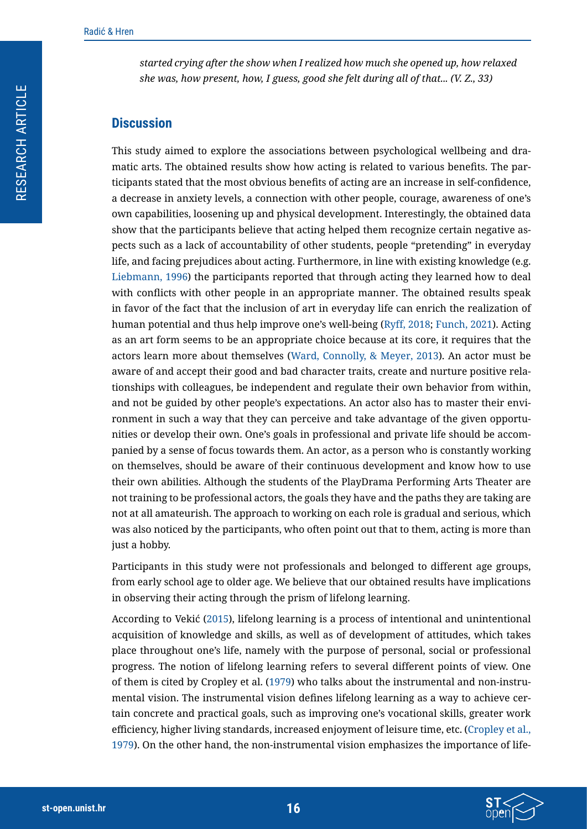*started crying after the show when I realized how much she opened up, how relaxed she was, how present, how, I guess, good she felt during all of that... (V. Z., 33)*

#### **Discussion**

This study aimed to explore the associations between psychological wellbeing and dramatic arts. The obtained results show how acting is related to various benefits. The participants stated that the most obvious benefits of acting are an increase in self-confidence, a decrease in anxiety levels, a connection with other people, courage, awareness of one's own capabilities, loosening up and physical development. Interestingly, the obtained data show that the participants believe that acting helped them recognize certain negative aspects such as a lack of accountability of other students, people "pretending" in everyday life, and facing prejudices about acting. Furthermore, in line with existing knowledge (e.g. [Liebmann, 1996](#page-18-12)) the participants reported that through acting they learned how to deal with conflicts with other people in an appropriate manner. The obtained results speak in favor of the fact that the inclusion of art in everyday life can enrich the realization of human potential and thus help improve one's well-being ([Ryff, 2018](#page-18-2); [Funch, 2021\)](#page-18-13). Acting as an art form seems to be an appropriate choice because at its core, it requires that the actors learn more about themselves ([Ward, Connolly, & Meyer, 2013\)](#page-18-14). An actor must be aware of and accept their good and bad character traits, create and nurture positive relationships with colleagues, be independent and regulate their own behavior from within, and not be guided by other people's expectations. An actor also has to master their environment in such a way that they can perceive and take advantage of the given opportunities or develop their own. One's goals in professional and private life should be accompanied by a sense of focus towards them. An actor, as a person who is constantly working on themselves, should be aware of their continuous development and know how to use their own abilities. Although the students of the PlayDrama Performing Arts Theater are not training to be professional actors, the goals they have and the paths they are taking are not at all amateurish. The approach to working on each role is gradual and serious, which was also noticed by the participants, who often point out that to them, acting is more than just a hobby.

Participants in this study were not professionals and belonged to different age groups, from early school age to older age. We believe that our obtained results have implications in observing their acting through the prism of lifelong learning.

According to Vekić (2015), lifelong learning is a process of intentional and unintentional acquisition of knowledge and skills, as well as of development of attitudes, which takes place throughout one's life, namely with the purpose of personal, social or professional progress. The notion of lifelong learning refers to several different points of view. One of them is cited by Cropley et al. ([1979](#page-17-5)) who talks about the instrumental and non-instrumental vision. The instrumental vision defines lifelong learning as a way to achieve certain concrete and practical goals, such as improving one's vocational skills, greater work efficiency, higher living standards, increased enjoyment of leisure time, etc. ([Cropley et al.,](#page-17-5)  [1979\)](#page-17-5). On the other hand, the non-instrumental vision emphasizes the importance of life-

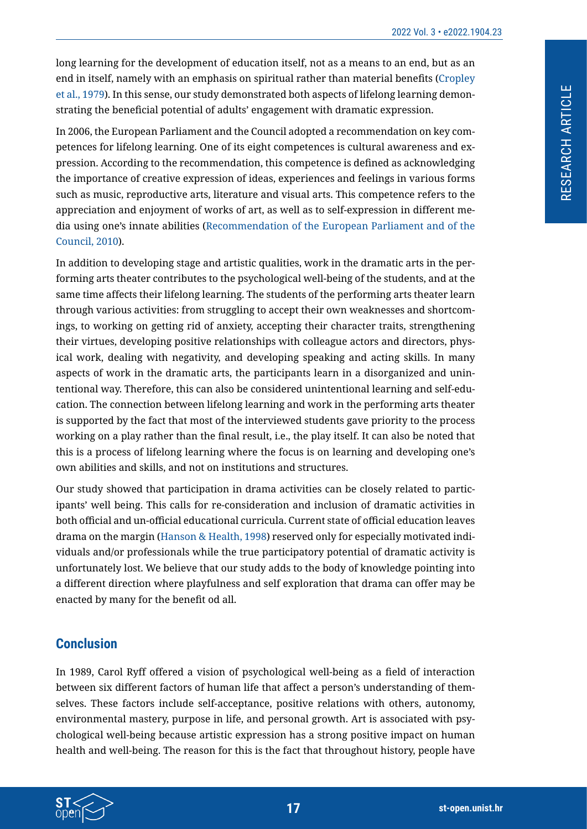long learning for the development of education itself, not as a means to an end, but as an end in itself, namely with an emphasis on spiritual rather than material benefits ([Cropley](#page-17-5)  [et al., 1979\)](#page-17-5). In this sense, our study demonstrated both aspects of lifelong learning demonstrating the beneficial potential of adults' engagement with dramatic expression.

In 2006, the European Parliament and the Council adopted a recommendation on key competences for lifelong learning. One of its eight competences is cultural awareness and expression. According to the recommendation, this competence is defined as acknowledging the importance of creative expression of ideas, experiences and feelings in various forms such as music, reproductive arts, literature and visual arts. This competence refers to the appreciation and enjoyment of works of art, as well as to self-expression in different media using one's innate abilities ([Recommendation of the European Parliament and of the](#page-18-15)  [Council, 2010](#page-18-15)).

In addition to developing stage and artistic qualities, work in the dramatic arts in the performing arts theater contributes to the psychological well-being of the students, and at the same time affects their lifelong learning. The students of the performing arts theater learn through various activities: from struggling to accept their own weaknesses and shortcomings, to working on getting rid of anxiety, accepting their character traits, strengthening their virtues, developing positive relationships with colleague actors and directors, physical work, dealing with negativity, and developing speaking and acting skills. In many aspects of work in the dramatic arts, the participants learn in a disorganized and unintentional way. Therefore, this can also be considered unintentional learning and self-education. The connection between lifelong learning and work in the performing arts theater is supported by the fact that most of the interviewed students gave priority to the process working on a play rather than the final result, i.e., the play itself. It can also be noted that this is a process of lifelong learning where the focus is on learning and developing one's own abilities and skills, and not on institutions and structures.

Our study showed that participation in drama activities can be closely related to participants' well being. This calls for re-consideration and inclusion of dramatic activities in both official and un-official educational curricula. Current state of official education leaves drama on the margin ([Hanson & Health, 1998](#page-18-5)) reserved only for especially motivated individuals and/or professionals while the true participatory potential of dramatic activity is unfortunately lost. We believe that our study adds to the body of knowledge pointing into a different direction where playfulness and self exploration that drama can offer may be enacted by many for the benefit od all.

### **Conclusion**

In 1989, Carol Ryff offered a vision of psychological well-being as a field of interaction between six different factors of human life that affect a person's understanding of themselves. These factors include self-acceptance, positive relations with others, autonomy, environmental mastery, purpose in life, and personal growth. Art is associated with psychological well-being because artistic expression has a strong positive impact on human health and well-being. The reason for this is the fact that throughout history, people have

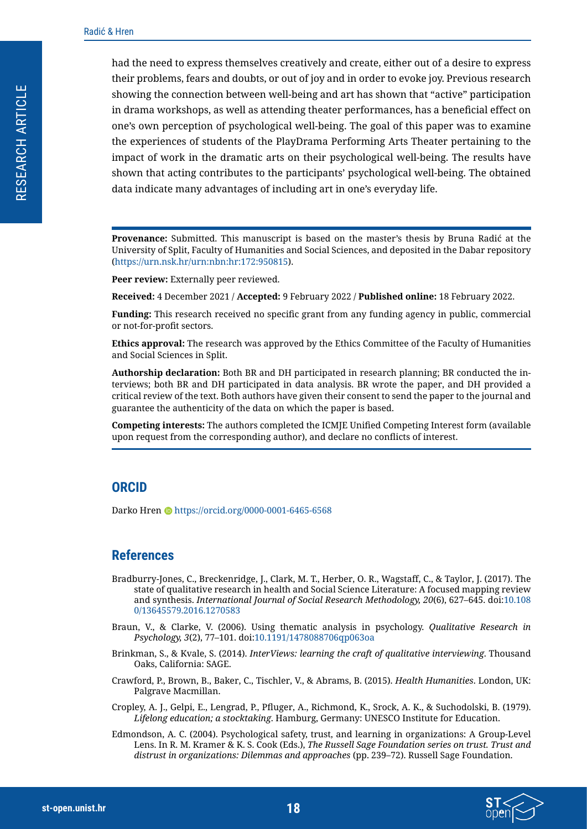had the need to express themselves creatively and create, either out of a desire to express their problems, fears and doubts, or out of joy and in order to evoke joy. Previous research showing the connection between well-being and art has shown that "active" participation in drama workshops, as well as attending theater performances, has a beneficial effect on one's own perception of psychological well-being. The goal of this paper was to examine the experiences of students of the PlayDrama Performing Arts Theater pertaining to the impact of work in the dramatic arts on their psychological well-being. The results have shown that acting contributes to the participants' psychological well-being. The obtained data indicate many advantages of including art in one's everyday life.

**Provenance:** Submitted. This manuscript is based on the master's thesis by Bruna Radić at the University of Split, Faculty of Humanities and Social Sciences, and deposited in the Dabar repository (https://urn.nsk.hr/urn:nbn:hr:172:950815).

Peer review: Externally peer reviewed.

**Received:** 4 December 2021 / **Accepted:** 9 February 2022 / **Published online:** 18 February 2022.

**Funding:** This research received no specific grant from any funding agency in public, commercial or not-for-profit sectors.

**Ethics approval:** The research was approved by the Ethics Committee of the Faculty of Humanities and Social Sciences in Split.

**Authorship declaration:** Both BR and DH participated in research planning; BR conducted the interviews; both BR and DH participated in data analysis. BR wrote the paper, and DH provided a critical review of the text. Both authors have given their consent to send the paper to the journal and guarantee the authenticity of the data on which the paper is based.

**Competing interests:** The authors completed the ICMJE Unified Competing Interest form (available upon request from the corresponding author), and declare no conflicts of interest.

#### **ORCID**

Darko Hren @ https://orcid.org/0000-0001-6465-6568

#### **References**

- <span id="page-17-2"></span>Bradburry-Jones, C., Breckenridge, J., Clark, M. T., Herber, O. R., Wagstaff, C., & Taylor, J. (2017). The state of qualitative research in health and Social Science Literature: A focused mapping review and synthesis. *International Journal of Social Research Methodology, 20*(6), 627–645. doi[:10.108](https://doi.org/10.1080/13645579.2016.1270583) [0/13645579.2016.1270583](https://doi.org/10.1080/13645579.2016.1270583)
- <span id="page-17-4"></span>Braun, V., & Clarke, V. (2006). Using thematic analysis in psychology. *Qualitative Research in Psychology, 3*(2), 77–101. doi[:10.1191/1478088706qp063oa](https://doi.org/10.1191/1478088706qp063oa)
- <span id="page-17-3"></span>Brinkman, S., & Kvale, S. (2014). *InterViews: learning the craft of qualitative interviewing*. Thousand Oaks, California: SAGE.
- <span id="page-17-0"></span>Crawford, P., Brown, B., Baker, C., Tischler, V., & Abrams, B. (2015). *Health Humanities*. London, UK: Palgrave Macmillan.
- <span id="page-17-5"></span>Cropley, A. J., Gelpi, E., Lengrad, P., Pfluger, A., Richmond, K., Srock, A. K., & Suchodolski, B. (1979). *Lifelong education; a stocktaking*. Hamburg, Germany: UNESCO Institute for Education.
- <span id="page-17-1"></span>Edmondson, A. C. (2004). Psychological safety, trust, and learning in organizations: A Group-Level Lens. In R. M. Kramer & K. S. Cook (Eds.), *The Russell Sage Foundation series on trust. Trust and distrust in organizations: Dilemmas and approaches* (pp. 239–72). Russell Sage Foundation.